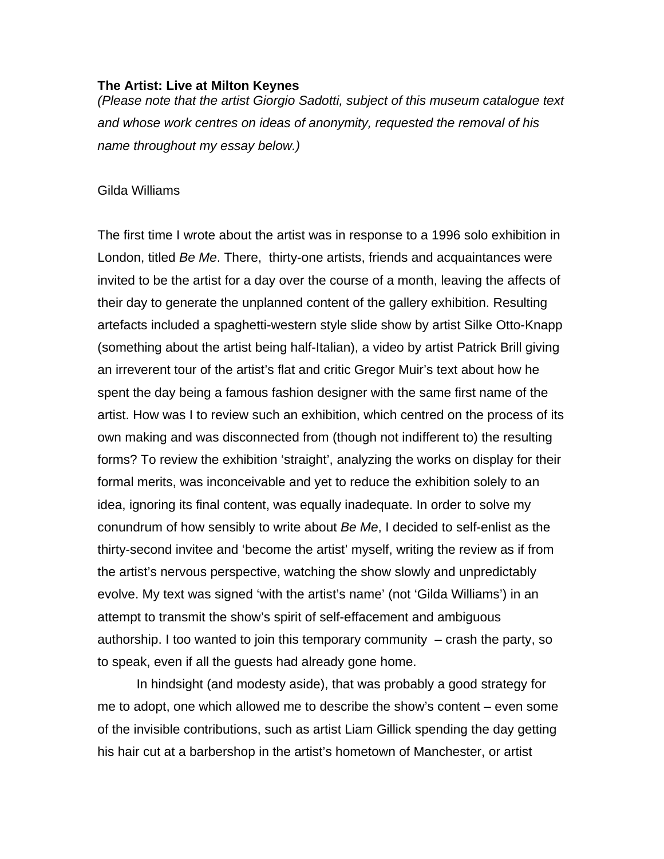## **The Artist: Live at Milton Keynes**

*(Please note that the artist Giorgio Sadotti, subject of this museum catalogue text and whose work centres on ideas of anonymity, requested the removal of his name throughout my essay below.)* 

## Gilda Williams

The first time I wrote about the artist was in response to a 1996 solo exhibition in London, titled *Be Me*. There, thirty-one artists, friends and acquaintances were invited to be the artist for a day over the course of a month, leaving the affects of their day to generate the unplanned content of the gallery exhibition. Resulting artefacts included a spaghetti-western style slide show by artist Silke Otto-Knapp (something about the artist being half-Italian), a video by artist Patrick Brill giving an irreverent tour of the artist's flat and critic Gregor Muir's text about how he spent the day being a famous fashion designer with the same first name of the artist. How was I to review such an exhibition, which centred on the process of its own making and was disconnected from (though not indifferent to) the resulting forms? To review the exhibition 'straight', analyzing the works on display for their formal merits, was inconceivable and yet to reduce the exhibition solely to an idea, ignoring its final content, was equally inadequate. In order to solve my conundrum of how sensibly to write about *Be Me*, I decided to self-enlist as the thirty-second invitee and 'become the artist' myself, writing the review as if from the artist's nervous perspective, watching the show slowly and unpredictably evolve. My text was signed 'with the artist's name' (not 'Gilda Williams') in an attempt to transmit the show's spirit of self-effacement and ambiguous authorship. I too wanted to join this temporary community – crash the party, so to speak, even if all the guests had already gone home.

In hindsight (and modesty aside), that was probably a good strategy for me to adopt, one which allowed me to describe the show's content – even some of the invisible contributions, such as artist Liam Gillick spending the day getting his hair cut at a barbershop in the artist's hometown of Manchester, or artist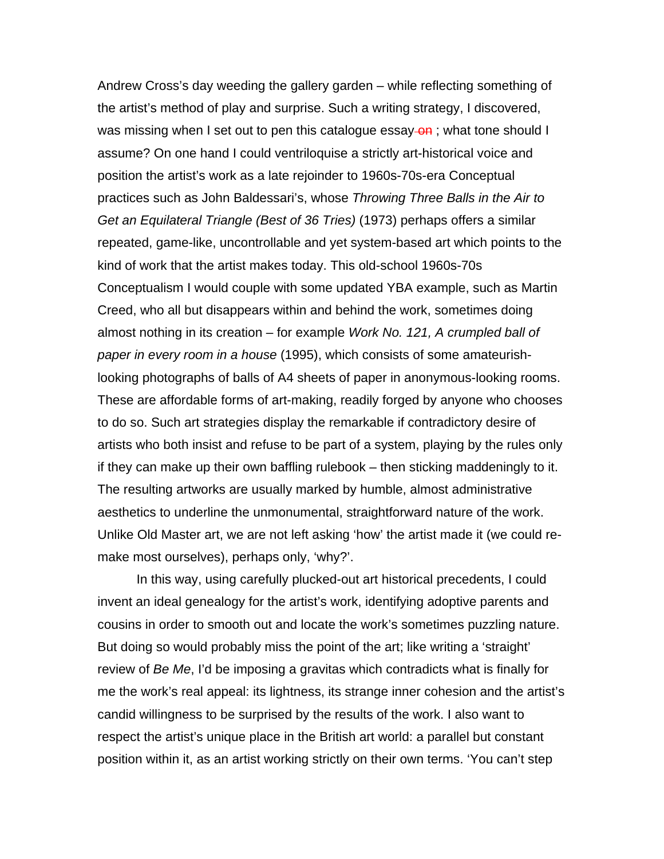Andrew Cross's day weeding the gallery garden – while reflecting something of the artist's method of play and surprise. Such a writing strategy, I discovered, was missing when I set out to pen this catalogue essay-on; what tone should I assume? On one hand I could ventriloquise a strictly art-historical voice and position the artist's work as a late rejoinder to 1960s-70s-era Conceptual practices such as John Baldessari's, whose *Throwing Three Balls in the Air to Get an Equilateral Triangle (Best of 36 Tries)* (1973) perhaps offers a similar repeated, game-like, uncontrollable and yet system-based art which points to the kind of work that the artist makes today. This old-school 1960s-70s Conceptualism I would couple with some updated YBA example, such as Martin Creed, who all but disappears within and behind the work, sometimes doing almost nothing in its creation – for example *Work No. 121, A crumpled ball of paper in every room in a house* (1995), which consists of some amateurishlooking photographs of balls of A4 sheets of paper in anonymous-looking rooms. These are affordable forms of art-making, readily forged by anyone who chooses to do so. Such art strategies display the remarkable if contradictory desire of artists who both insist and refuse to be part of a system, playing by the rules only if they can make up their own baffling rulebook – then sticking maddeningly to it. The resulting artworks are usually marked by humble, almost administrative aesthetics to underline the unmonumental, straightforward nature of the work. Unlike Old Master art, we are not left asking 'how' the artist made it (we could remake most ourselves), perhaps only, 'why?'.

In this way, using carefully plucked-out art historical precedents, I could invent an ideal genealogy for the artist's work, identifying adoptive parents and cousins in order to smooth out and locate the work's sometimes puzzling nature. But doing so would probably miss the point of the art; like writing a 'straight' review of *Be Me*, I'd be imposing a gravitas which contradicts what is finally for me the work's real appeal: its lightness, its strange inner cohesion and the artist's candid willingness to be surprised by the results of the work. I also want to respect the artist's unique place in the British art world: a parallel but constant position within it, as an artist working strictly on their own terms. 'You can't step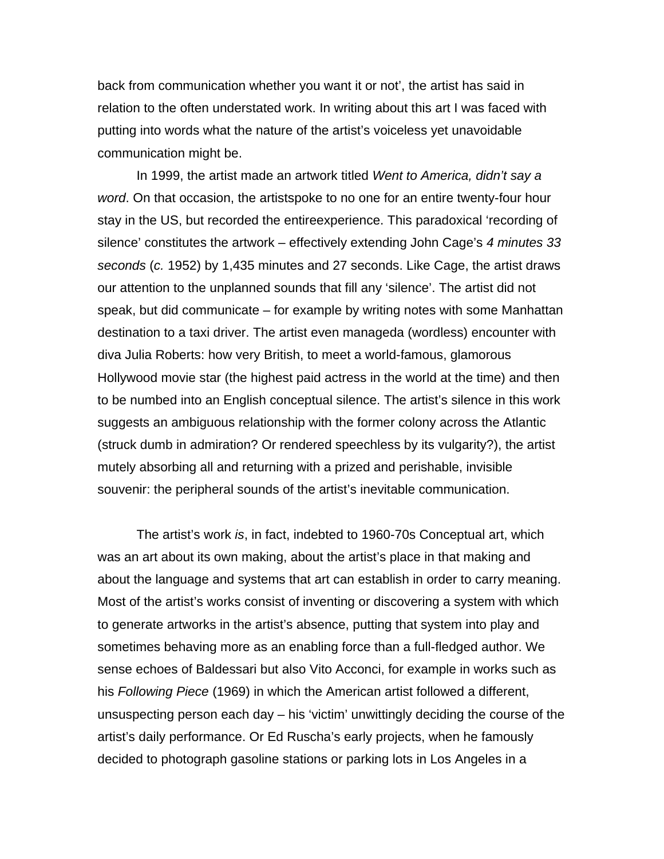back from communication whether you want it or not', the artist has said in relation to the often understated work. In writing about this art I was faced with putting into words what the nature of the artist's voiceless yet unavoidable communication might be.

In 1999, the artist made an artwork titled *Went to America, didn't say a word*. On that occasion, the artistspoke to no one for an entire twenty-four hour stay in the US, but recorded the entireexperience. This paradoxical 'recording of silence' constitutes the artwork – effectively extending John Cage's *4 minutes 33 seconds* (*c.* 1952) by 1,435 minutes and 27 seconds. Like Cage, the artist draws our attention to the unplanned sounds that fill any 'silence'. The artist did not speak, but did communicate – for example by writing notes with some Manhattan destination to a taxi driver. The artist even manageda (wordless) encounter with diva Julia Roberts: how very British, to meet a world-famous, glamorous Hollywood movie star (the highest paid actress in the world at the time) and then to be numbed into an English conceptual silence. The artist's silence in this work suggests an ambiguous relationship with the former colony across the Atlantic (struck dumb in admiration? Or rendered speechless by its vulgarity?), the artist mutely absorbing all and returning with a prized and perishable, invisible souvenir: the peripheral sounds of the artist's inevitable communication.

The artist's work *is*, in fact, indebted to 1960-70s Conceptual art, which was an art about its own making, about the artist's place in that making and about the language and systems that art can establish in order to carry meaning. Most of the artist's works consist of inventing or discovering a system with which to generate artworks in the artist's absence, putting that system into play and sometimes behaving more as an enabling force than a full-fledged author. We sense echoes of Baldessari but also Vito Acconci, for example in works such as his *Following Piece* (1969) in which the American artist followed a different, unsuspecting person each day – his 'victim' unwittingly deciding the course of the artist's daily performance. Or Ed Ruscha's early projects, when he famously decided to photograph gasoline stations or parking lots in Los Angeles in a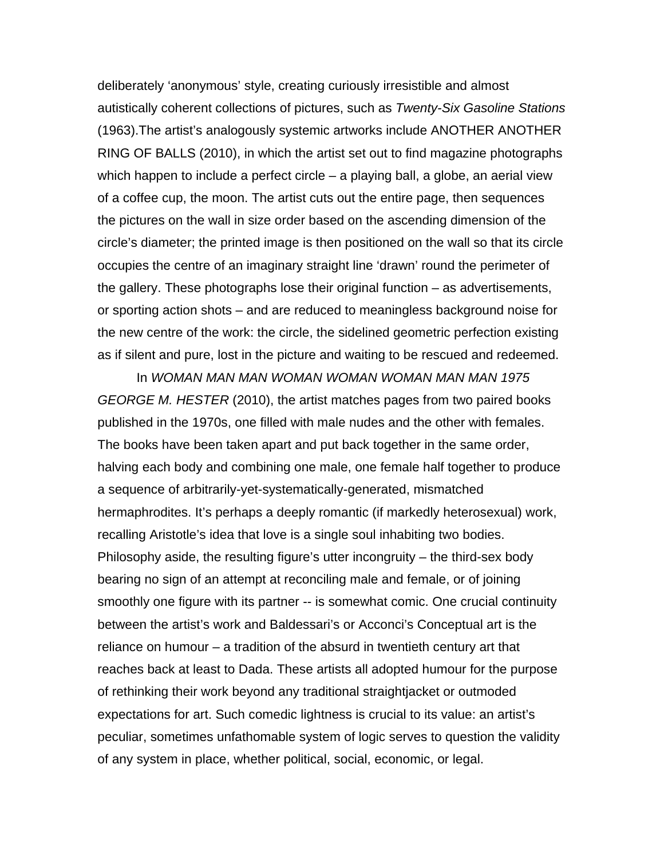deliberately 'anonymous' style, creating curiously irresistible and almost autistically coherent collections of pictures, such as *Twenty-Six Gasoline Stations* (1963).The artist's analogously systemic artworks include ANOTHER ANOTHER RING OF BALLS (2010), in which the artist set out to find magazine photographs which happen to include a perfect circle – a playing ball, a globe, an aerial view of a coffee cup, the moon. The artist cuts out the entire page, then sequences the pictures on the wall in size order based on the ascending dimension of the circle's diameter; the printed image is then positioned on the wall so that its circle occupies the centre of an imaginary straight line 'drawn' round the perimeter of the gallery. These photographs lose their original function – as advertisements, or sporting action shots – and are reduced to meaningless background noise for the new centre of the work: the circle, the sidelined geometric perfection existing as if silent and pure, lost in the picture and waiting to be rescued and redeemed.

In *WOMAN MAN MAN WOMAN WOMAN WOMAN MAN MAN 1975 GEORGE M. HESTER* (2010), the artist matches pages from two paired books published in the 1970s, one filled with male nudes and the other with females. The books have been taken apart and put back together in the same order, halving each body and combining one male, one female half together to produce a sequence of arbitrarily-yet-systematically-generated, mismatched hermaphrodites. It's perhaps a deeply romantic (if markedly heterosexual) work, recalling Aristotle's idea that love is a single soul inhabiting two bodies. Philosophy aside, the resulting figure's utter incongruity – the third-sex body bearing no sign of an attempt at reconciling male and female, or of joining smoothly one figure with its partner -- is somewhat comic. One crucial continuity between the artist's work and Baldessari's or Acconci's Conceptual art is the reliance on humour – a tradition of the absurd in twentieth century art that reaches back at least to Dada. These artists all adopted humour for the purpose of rethinking their work beyond any traditional straightjacket or outmoded expectations for art. Such comedic lightness is crucial to its value: an artist's peculiar, sometimes unfathomable system of logic serves to question the validity of any system in place, whether political, social, economic, or legal.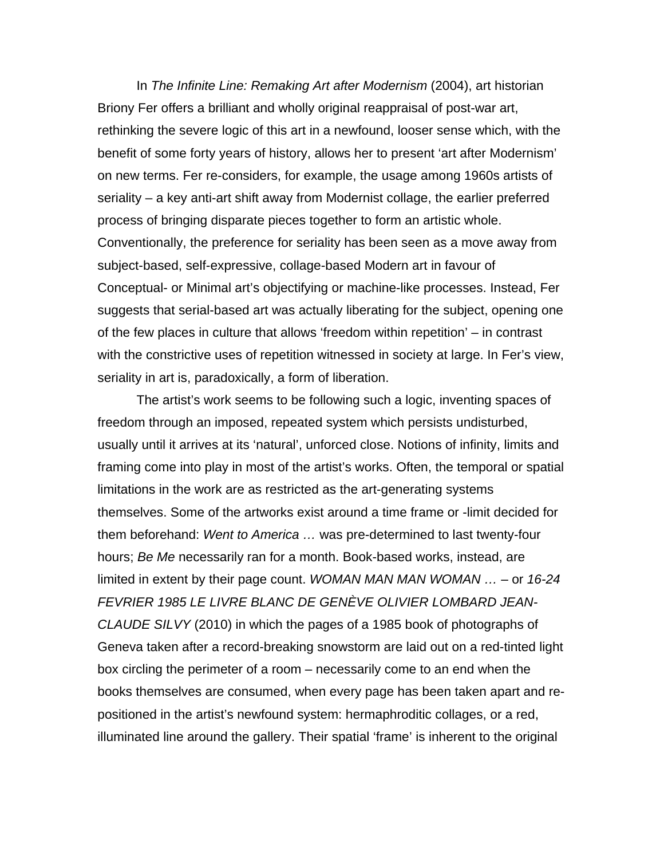In *The Infinite Line: Remaking Art after Modernism* (2004), art historian Briony Fer offers a brilliant and wholly original reappraisal of post-war art, rethinking the severe logic of this art in a newfound, looser sense which, with the benefit of some forty years of history, allows her to present 'art after Modernism' on new terms. Fer re-considers, for example, the usage among 1960s artists of seriality – a key anti-art shift away from Modernist collage, the earlier preferred process of bringing disparate pieces together to form an artistic whole. Conventionally, the preference for seriality has been seen as a move away from subject-based, self-expressive, collage-based Modern art in favour of Conceptual- or Minimal art's objectifying or machine-like processes. Instead, Fer suggests that serial-based art was actually liberating for the subject, opening one of the few places in culture that allows 'freedom within repetition' – in contrast with the constrictive uses of repetition witnessed in society at large. In Fer's view, seriality in art is, paradoxically, a form of liberation.

The artist's work seems to be following such a logic, inventing spaces of freedom through an imposed, repeated system which persists undisturbed, usually until it arrives at its 'natural', unforced close. Notions of infinity, limits and framing come into play in most of the artist's works. Often, the temporal or spatial limitations in the work are as restricted as the art-generating systems themselves. Some of the artworks exist around a time frame or -limit decided for them beforehand: *Went to America …* was pre-determined to last twenty-four hours; *Be Me* necessarily ran for a month. Book-based works, instead, are limited in extent by their page count. *WOMAN MAN MAN WOMAN …* – or *16-24 FEVRIER 1985 LE LIVRE BLANC DE GENÈVE OLIVIER LOMBARD JEAN-CLAUDE SILVY* (2010) in which the pages of a 1985 book of photographs of Geneva taken after a record-breaking snowstorm are laid out on a red-tinted light box circling the perimeter of a room – necessarily come to an end when the books themselves are consumed, when every page has been taken apart and repositioned in the artist's newfound system: hermaphroditic collages, or a red, illuminated line around the gallery. Their spatial 'frame' is inherent to the original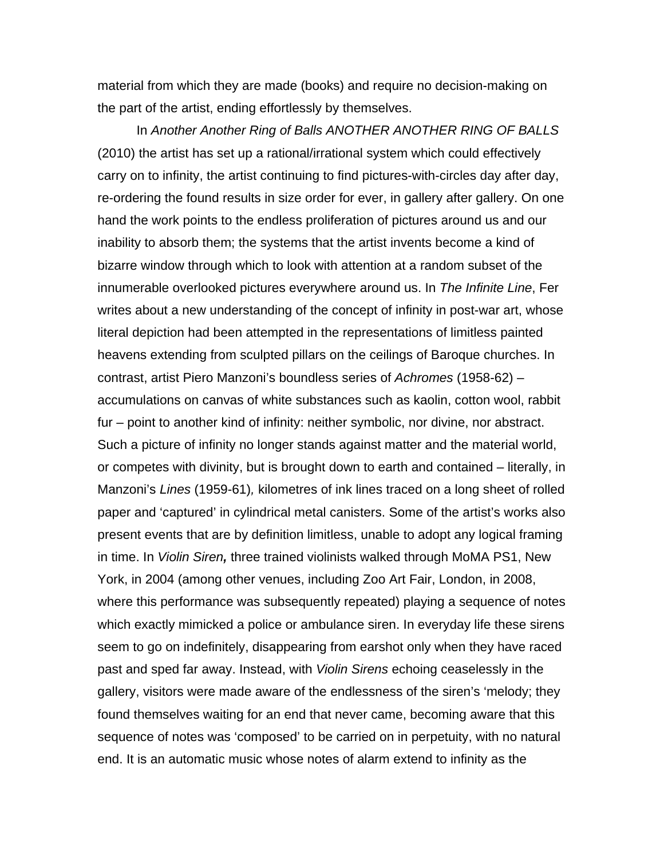material from which they are made (books) and require no decision-making on the part of the artist, ending effortlessly by themselves.

In *Another Another Ring of Balls ANOTHER ANOTHER RING OF BALLS* (2010) the artist has set up a rational/irrational system which could effectively carry on to infinity, the artist continuing to find pictures-with-circles day after day, re-ordering the found results in size order for ever, in gallery after gallery. On one hand the work points to the endless proliferation of pictures around us and our inability to absorb them; the systems that the artist invents become a kind of bizarre window through which to look with attention at a random subset of the innumerable overlooked pictures everywhere around us. In *The Infinite Line*, Fer writes about a new understanding of the concept of infinity in post-war art, whose literal depiction had been attempted in the representations of limitless painted heavens extending from sculpted pillars on the ceilings of Baroque churches. In contrast, artist Piero Manzoni's boundless series of *Achromes* (1958-62) – accumulations on canvas of white substances such as kaolin, cotton wool, rabbit fur – point to another kind of infinity: neither symbolic, nor divine, nor abstract. Such a picture of infinity no longer stands against matter and the material world, or competes with divinity, but is brought down to earth and contained – literally, in Manzoni's *Lines* (1959-61)*,* kilometres of ink lines traced on a long sheet of rolled paper and 'captured' in cylindrical metal canisters. Some of the artist's works also present events that are by definition limitless, unable to adopt any logical framing in time. In *Violin Siren,* three trained violinists walked through MoMA PS1, New York, in 2004 (among other venues, including Zoo Art Fair, London, in 2008, where this performance was subsequently repeated) playing a sequence of notes which exactly mimicked a police or ambulance siren. In everyday life these sirens seem to go on indefinitely, disappearing from earshot only when they have raced past and sped far away. Instead, with *Violin Sirens* echoing ceaselessly in the gallery, visitors were made aware of the endlessness of the siren's 'melody; they found themselves waiting for an end that never came, becoming aware that this sequence of notes was 'composed' to be carried on in perpetuity, with no natural end. It is an automatic music whose notes of alarm extend to infinity as the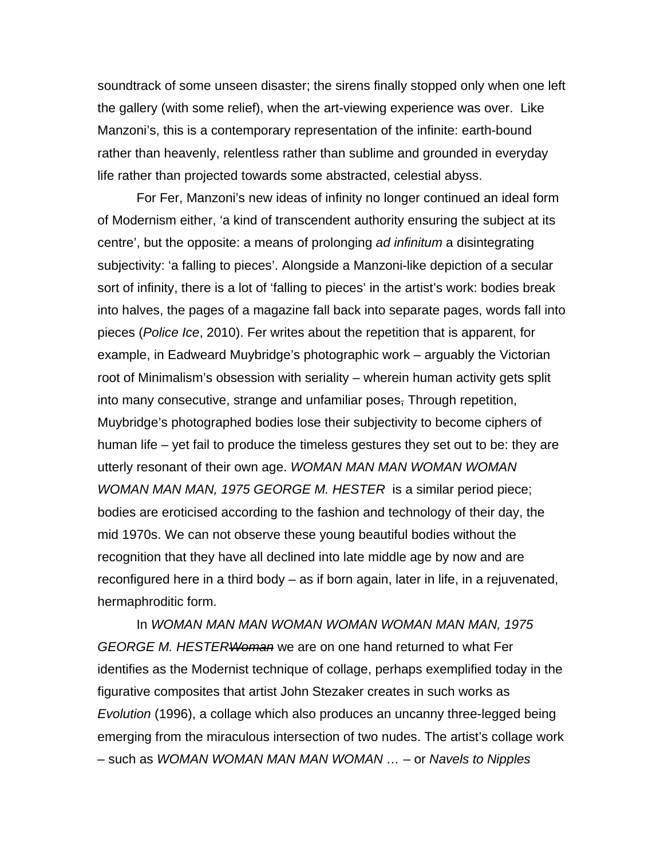soundtrack of some unseen disaster; the sirens finally stopped only when one left the gallery (with some relief), when the art-viewing experience was over. Like Manzoni's, this is a contemporary representation of the infinite: earth-bound rather than heavenly, relentless rather than sublime and grounded in everyday life rather than projected towards some abstracted, celestial abyss.

For Fer, Manzoni's new ideas of infinity no longer continued an ideal form of Modernism either, 'a kind of transcendent authority ensuring the subject at its centre', but the opposite: a means of prolonging *ad infinitum* a disintegrating subjectivity: 'a falling to pieces'. Alongside a Manzoni-like depiction of a secular sort of infinity, there is a lot of 'falling to pieces' in the artist's work: bodies break into halves, the pages of a magazine fall back into separate pages, words fall into pieces (*Police Ice*, 2010). Fer writes about the repetition that is apparent, for example, in Eadweard Muybridge's photographic work – arguably the Victorian root of Minimalism's obsession with seriality – wherein human activity gets split into many consecutive, strange and unfamiliar poses, Through repetition, Muybridge's photographed bodies lose their subjectivity to become ciphers of human life – yet fail to produce the timeless gestures they set out to be: they are utterly resonant of their own age. *WOMAN MAN MAN WOMAN WOMAN WOMAN MAN MAN, 1975 GEORGE M. HESTER* is a similar period piece; bodies are eroticised according to the fashion and technology of their day, the mid 1970s. We can not observe these young beautiful bodies without the recognition that they have all declined into late middle age by now and are reconfigured here in a third body – as if born again, later in life, in a rejuvenated, hermaphroditic form.

In *WOMAN MAN MAN WOMAN WOMAN WOMAN MAN MAN, 1975 GEORGE M. HESTERWoman* we are on one hand returned to what Fer identifies as the Modernist technique of collage, perhaps exemplified today in the figurative composites that artist John Stezaker creates in such works as *Evolution* (1996), a collage which also produces an uncanny three-legged being emerging from the miraculous intersection of two nudes. The artist's collage work – such as *WOMAN WOMAN MAN MAN WOMAN …* – or *Navels to Nipples*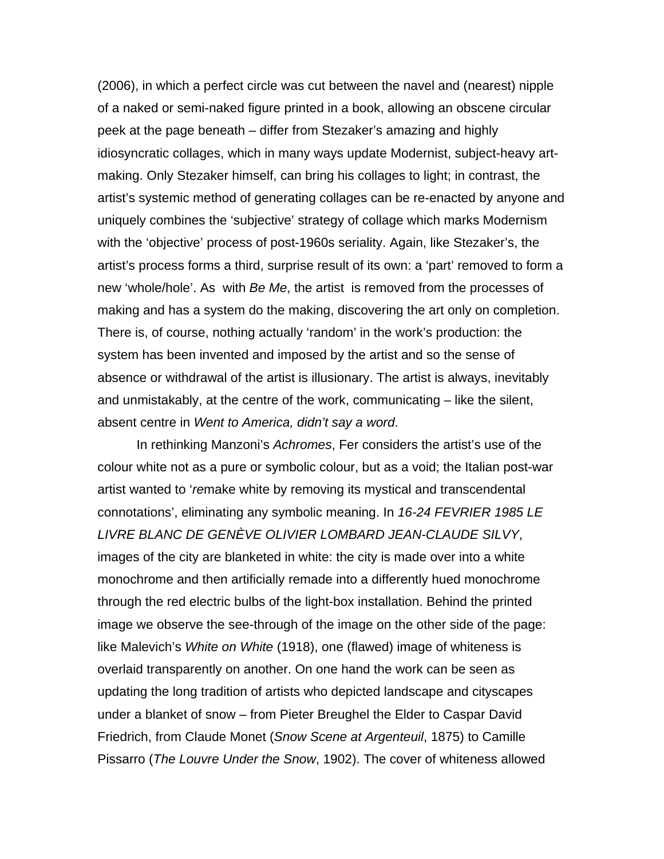(2006), in which a perfect circle was cut between the navel and (nearest) nipple of a naked or semi-naked figure printed in a book, allowing an obscene circular peek at the page beneath – differ from Stezaker's amazing and highly idiosyncratic collages, which in many ways update Modernist, subject-heavy artmaking. Only Stezaker himself, can bring his collages to light; in contrast, the artist's systemic method of generating collages can be re-enacted by anyone and uniquely combines the 'subjective' strategy of collage which marks Modernism with the 'objective' process of post-1960s seriality. Again, like Stezaker's, the artist's process forms a third, surprise result of its own: a 'part' removed to form a new 'whole/hole'. As with *Be Me*, the artist is removed from the processes of making and has a system do the making, discovering the art only on completion. There is, of course, nothing actually 'random' in the work's production: the system has been invented and imposed by the artist and so the sense of absence or withdrawal of the artist is illusionary. The artist is always, inevitably and unmistakably, at the centre of the work, communicating – like the silent, absent centre in *Went to America, didn't say a word*.

In rethinking Manzoni's *Achromes*, Fer considers the artist's use of the colour white not as a pure or symbolic colour, but as a void; the Italian post-war artist wanted to '*re*make white by removing its mystical and transcendental connotations', eliminating any symbolic meaning. In *16-24 FEVRIER 1985 LE LIVRE BLANC DE GENÈVE OLIVIER LOMBARD JEAN-CLAUDE SILVY*, images of the city are blanketed in white: the city is made over into a white monochrome and then artificially remade into a differently hued monochrome through the red electric bulbs of the light-box installation. Behind the printed image we observe the see-through of the image on the other side of the page: like Malevich's *White on White* (1918), one (flawed) image of whiteness is overlaid transparently on another. On one hand the work can be seen as updating the long tradition of artists who depicted landscape and cityscapes under a blanket of snow – from Pieter Breughel the Elder to Caspar David Friedrich, from Claude Monet (*Snow Scene at Argenteuil*, 1875) to Camille Pissarro (*The Louvre Under the Snow*, 1902). The cover of whiteness allowed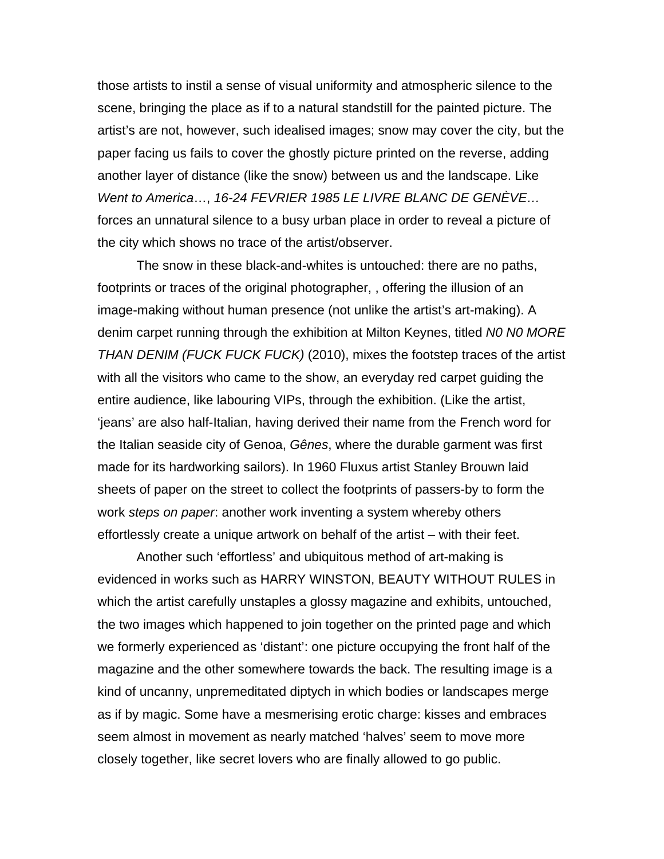those artists to instil a sense of visual uniformity and atmospheric silence to the scene, bringing the place as if to a natural standstill for the painted picture. The artist's are not, however, such idealised images; snow may cover the city, but the paper facing us fails to cover the ghostly picture printed on the reverse, adding another layer of distance (like the snow) between us and the landscape. Like *Went to America*…, *16-24 FEVRIER 1985 LE LIVRE BLANC DE GENÈVE…* forces an unnatural silence to a busy urban place in order to reveal a picture of the city which shows no trace of the artist/observer.

The snow in these black-and-whites is untouched: there are no paths, footprints or traces of the original photographer, , offering the illusion of an image-making without human presence (not unlike the artist's art-making). A denim carpet running through the exhibition at Milton Keynes, titled *N0 N0 MORE THAN DENIM (FUCK FUCK FUCK)* (2010), mixes the footstep traces of the artist with all the visitors who came to the show, an everyday red carpet guiding the entire audience, like labouring VIPs, through the exhibition. (Like the artist, 'jeans' are also half-Italian, having derived their name from the French word for the Italian seaside city of Genoa, *Gênes*, where the durable garment was first made for its hardworking sailors). In 1960 Fluxus artist Stanley Brouwn laid sheets of paper on the street to collect the footprints of passers-by to form the work *steps on paper*: another work inventing a system whereby others effortlessly create a unique artwork on behalf of the artist – with their feet.

Another such 'effortless' and ubiquitous method of art-making is evidenced in works such as HARRY WINSTON, BEAUTY WITHOUT RULES in which the artist carefully unstaples a glossy magazine and exhibits, untouched, the two images which happened to join together on the printed page and which we formerly experienced as 'distant': one picture occupying the front half of the magazine and the other somewhere towards the back. The resulting image is a kind of uncanny, unpremeditated diptych in which bodies or landscapes merge as if by magic. Some have a mesmerising erotic charge: kisses and embraces seem almost in movement as nearly matched 'halves' seem to move more closely together, like secret lovers who are finally allowed to go public.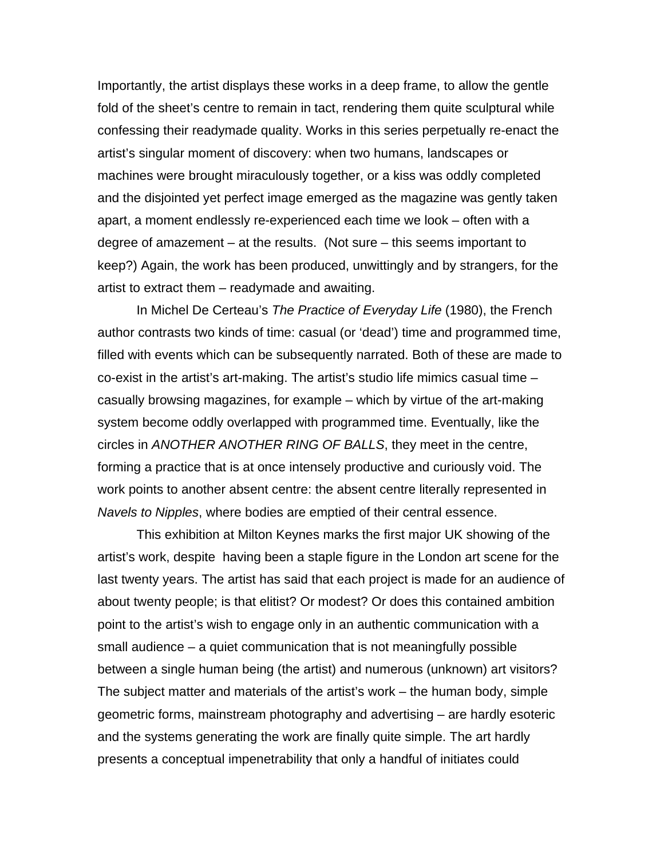Importantly, the artist displays these works in a deep frame, to allow the gentle fold of the sheet's centre to remain in tact, rendering them quite sculptural while confessing their readymade quality. Works in this series perpetually re-enact the artist's singular moment of discovery: when two humans, landscapes or machines were brought miraculously together, or a kiss was oddly completed and the disjointed yet perfect image emerged as the magazine was gently taken apart, a moment endlessly re-experienced each time we look – often with a degree of amazement – at the results. (Not sure – this seems important to keep?) Again, the work has been produced, unwittingly and by strangers, for the artist to extract them – readymade and awaiting.

In Michel De Certeau's *The Practice of Everyday Life* (1980), the French author contrasts two kinds of time: casual (or 'dead') time and programmed time, filled with events which can be subsequently narrated. Both of these are made to co-exist in the artist's art-making. The artist's studio life mimics casual time – casually browsing magazines, for example – which by virtue of the art-making system become oddly overlapped with programmed time. Eventually, like the circles in *ANOTHER ANOTHER RING OF BALLS*, they meet in the centre, forming a practice that is at once intensely productive and curiously void. The work points to another absent centre: the absent centre literally represented in *Navels to Nipples*, where bodies are emptied of their central essence.

This exhibition at Milton Keynes marks the first major UK showing of the artist's work, despite having been a staple figure in the London art scene for the last twenty years. The artist has said that each project is made for an audience of about twenty people; is that elitist? Or modest? Or does this contained ambition point to the artist's wish to engage only in an authentic communication with a small audience – a quiet communication that is not meaningfully possible between a single human being (the artist) and numerous (unknown) art visitors? The subject matter and materials of the artist's work – the human body, simple geometric forms, mainstream photography and advertising – are hardly esoteric and the systems generating the work are finally quite simple. The art hardly presents a conceptual impenetrability that only a handful of initiates could